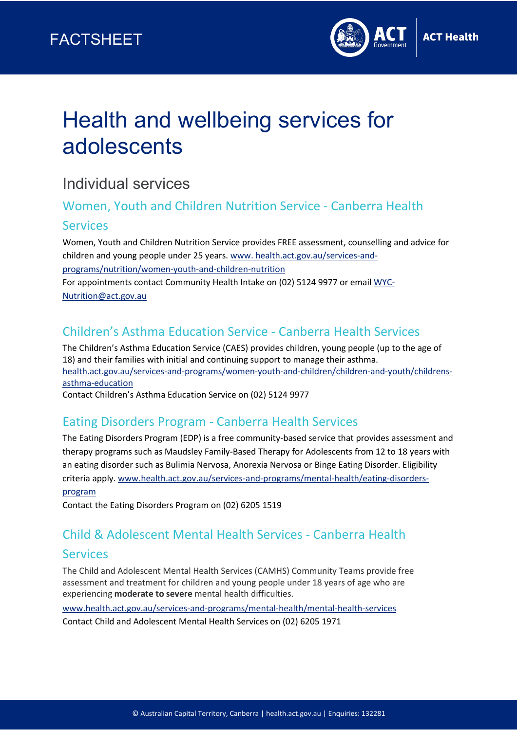

# Health and wellbeing services for adolescents

## Individual services

### Women, Youth and Children Nutrition Service - Canberra Health Services

Women, Youth and Children Nutrition Service provides FREE assessment, counselling and advice for children and young people under 25 years. [www. health.act.gov.au/services-and](https://health.act.gov.au/services-and-programs/nutrition/women-youth-and-children-nutrition)[programs/nutrition/women-youth-and-children-nutrition](https://health.act.gov.au/services-and-programs/nutrition/women-youth-and-children-nutrition) For appointments contact Community Health Intake on (02) 5124 9977 or emai[l WYC-](mailto:WYC-Nutrition@act.gov.au)[Nutrition@act.gov.au](mailto:WYC-Nutrition@act.gov.au)

## Children's Asthma Education Service - Canberra Health Services

The Children's Asthma Education Service (CAES) provides children, young people (up to the age of 18) and their families with initial and continuing support to manage their asthma. [health.act.gov.au/services-and-programs/women-youth-and-children/children-and-youth/childrens](https://health.act.gov.au/services-and-programs/women-youth-and-children/children-and-youth/childrens-asthma-education)[asthma-education](https://health.act.gov.au/services-and-programs/women-youth-and-children/children-and-youth/childrens-asthma-education)

Contact Children's Asthma Education Service on (02) [5124 9977](tel:0251249977)

#### Eating Disorders Program - Canberra Health Services

The Eating Disorders Program (EDP) is a free community-based service that provides assessment and therapy programs such as Maudsley Family-Based Therapy for Adolescents from 12 to 18 years with an eating disorder such as Bulimia Nervosa, Anorexia Nervosa or Binge Eating Disorder. Eligibility criteria apply. [www.health.act.gov.au/services-and-programs/mental-health/eating-disorders-](http://www.health.act.gov.au/services-and-programs/mental-health/eating-disorders-program)

#### [program](http://www.health.act.gov.au/services-and-programs/mental-health/eating-disorders-program)

Contact the Eating Disorders Program on (02) 6205 1519

#### Child & Adolescent Mental Health Services - Canberra Health

#### Services

The Child and Adolescent Mental Health Services (CAMHS) Community Teams provide free assessment and treatment for children and young people under 18 years of age who are experiencing **moderate to severe** mental health difficulties.

[www.health.act.gov.au/services-and-programs/mental-health/mental-health-services](http://www.health.act.gov.au/services-and-programs/mental-health/mental-health-services) Contact Child and Adolescent Mental Health Services on (02) 6205 1971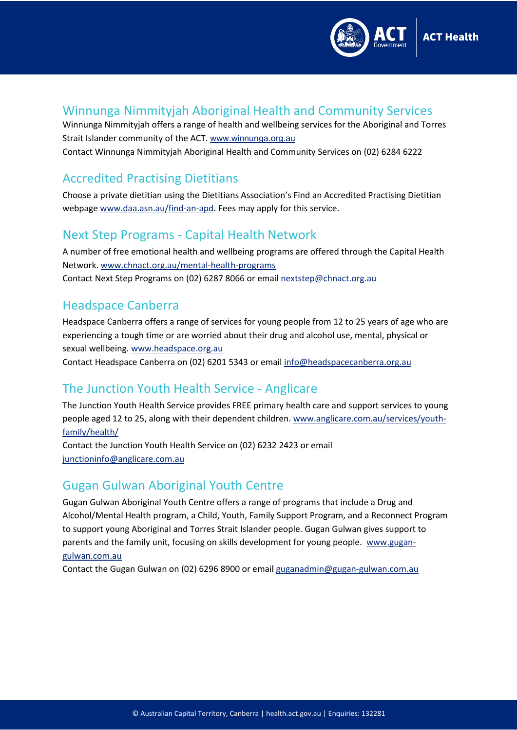

#### Winnunga Nimmityjah Aboriginal Health and Community Services

Winnunga Nimmityjah offers a range of health and wellbeing services for the Aboriginal and Torres Strait Islander community of the ACT. [www.winnunga.org.au](http://www.winnunga.org.au/) Contact Winnunga Nimmityjah Aboriginal Health and Community Services on (02) 6284 6222

#### Accredited Practising Dietitians

Choose a private dietitian using the Dietitians Association's Find an Accredited Practising Dietitian webpage [www.daa.asn.au/find-an-apd.](http://www.daa.asn.au/find-an-apd) Fees may apply for this service.

#### Next Step Programs - Capital Health Network

A number of free emotional health and wellbeing programs are offered through the Capital Health Network. [www.chnact.org.au/mental-health-programs](http://www.chnact.org.au/mental-health-programs)  Contact Next Step Programs on (02) 6287 8066 or email [nextstep@chnact.org.au](mailto:nextstep@chnact.org.au) 

#### Headspace Canberra

Headspace Canberra offers a range of services for young people from 12 to 25 years of age who are experiencing a tough time or are worried about their drug and alcohol use, mental, physical or sexual wellbeing. [www.headspace.org.au](http://www.headspace.org.au/)

Contact Headspace Canberra on (02) 6201 5343 or email [info@headspacecanberra.org.au](mailto:info@headspacecanberra.org.au)

#### The Junction Youth Health Service - Anglicare

The Junction Youth Health Service provides FREE primary health care and support services to young people aged 12 to 25, along with their dependent children. [www.anglicare.com.au/services/youth](http://www.anglicare.com.au/services/youth-family/health/)[family/health/](http://www.anglicare.com.au/services/youth-family/health/)

Contact the Junction Youth Health Service on (02) 6232 2423 or email [junctioninfo@anglicare.com.au](mailto:junctioninfo@anglicare.com.au)

#### Gugan Gulwan Aboriginal Youth Centre

Gugan Gulwan Aboriginal Youth Centre offers a range of programs that include a Drug and Alcohol/Mental Health program, a Child, Youth, Family Support Program, and a Reconnect Program to support young Aboriginal and Torres Strait Islander people. Gugan Gulwan gives support to parents and the family unit, focusing on skills development for young people. [www.gugan](http://www.gugan-gulwan.com.au/)[gulwan.com.au](http://www.gugan-gulwan.com.au/)

Contact the Gugan Gulwan on (02) 6296 8900 or email [guganadmin@gugan-gulwan.com.au](mailto:guganadmin@gugan-gulwan.com.au)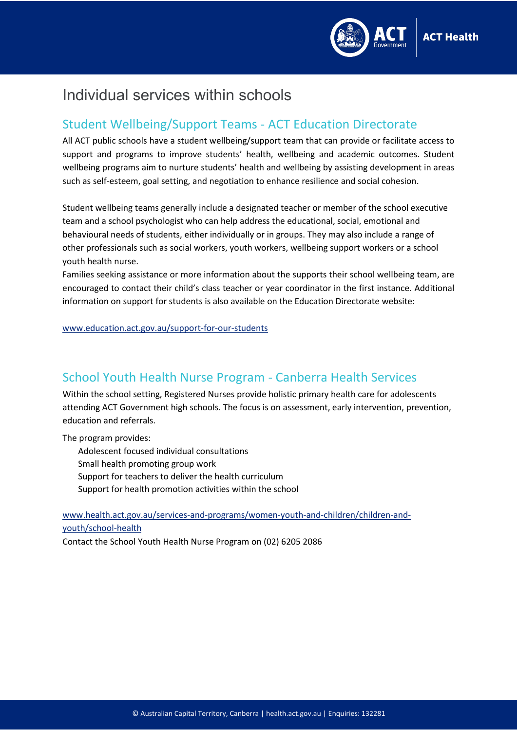

## Individual services within schools

#### Student Wellbeing/Support Teams - ACT Education Directorate

All ACT public schools have a student wellbeing/support team that can provide or facilitate access to support and programs to improve students' health, wellbeing and academic outcomes. Student wellbeing programs aim to nurture students' health and wellbeing by assisting development in areas such as self-esteem, goal setting, and negotiation to enhance resilience and social cohesion.

Student wellbeing teams generally include a designated teacher or member of the school executive team and a school psychologist who can help address the educational, social, emotional and behavioural needs of students, either individually or in groups. They may also include a range of other professionals such as social workers, youth workers, wellbeing support workers or a school youth health nurse.

Families seeking assistance or more information about the supports their school wellbeing team, are encouraged to contact their child's class teacher or year coordinator in the first instance. Additional information on support for students is also available on the Education Directorate website:

[www.education.act.gov.au/support-for-our-students](http://www.education.act.gov.au/support-for-our-students)

#### School Youth Health Nurse Program - Canberra Health Services

Within the school setting, Registered Nurses provide holistic primary health care for adolescents attending ACT Government high schools. The focus is on assessment, early intervention, prevention, education and referrals.

The program provides:

Adolescent focused individual consultations Small health promoting group work Support for teachers to deliver the health curriculum Support for health promotion activities within the school

[www.health.act.gov.au/services-and-programs/women-youth-and-children/children-and](http://www.health.act.gov.au/services-and-programs/women-youth-and-children/children-and-youth/school-health)[youth/school-health](http://www.health.act.gov.au/services-and-programs/women-youth-and-children/children-and-youth/school-health)

Contact the School Youth Health Nurse Program on (02) 6205 2086